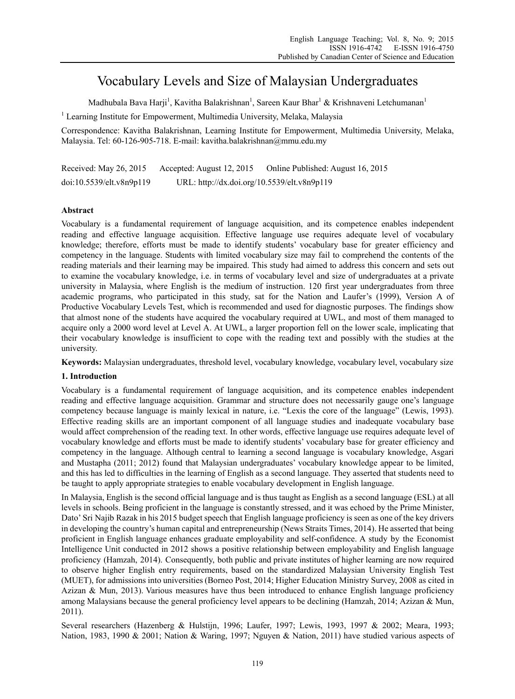# Vocabulary Levels and Size of Malaysian Undergraduates

Madhubala Bava Harji<sup>1</sup>, Kavitha Balakrishnan<sup>1</sup>, Sareen Kaur Bhar<sup>1</sup> & Krishnaveni Letchumanan<sup>1</sup>

<sup>1</sup> Learning Institute for Empowerment, Multimedia University, Melaka, Malaysia

Correspondence: Kavitha Balakrishnan, Learning Institute for Empowerment, Multimedia University, Melaka, Malaysia. Tel: 60-126-905-718. E-mail: kavitha.balakrishnan@mmu.edu.my

Received: May 26, 2015 Accepted: August 12, 2015 Online Published: August 16, 2015 doi:10.5539/elt.v8n9p119 URL: http://dx.doi.org/10.5539/elt.v8n9p119

# **Abstract**

Vocabulary is a fundamental requirement of language acquisition, and its competence enables independent reading and effective language acquisition. Effective language use requires adequate level of vocabulary knowledge; therefore, efforts must be made to identify students' vocabulary base for greater efficiency and competency in the language. Students with limited vocabulary size may fail to comprehend the contents of the reading materials and their learning may be impaired. This study had aimed to address this concern and sets out to examine the vocabulary knowledge, i.e. in terms of vocabulary level and size of undergraduates at a private university in Malaysia, where English is the medium of instruction. 120 first year undergraduates from three academic programs, who participated in this study, sat for the Nation and Laufer's (1999), Version A of Productive Vocabulary Levels Test, which is recommended and used for diagnostic purposes. The findings show that almost none of the students have acquired the vocabulary required at UWL, and most of them managed to acquire only a 2000 word level at Level A. At UWL, a larger proportion fell on the lower scale, implicating that their vocabulary knowledge is insufficient to cope with the reading text and possibly with the studies at the university.

**Keywords:** Malaysian undergraduates, threshold level, vocabulary knowledge, vocabulary level, vocabulary size

# **1. Introduction**

Vocabulary is a fundamental requirement of language acquisition, and its competence enables independent reading and effective language acquisition. Grammar and structure does not necessarily gauge one's language competency because language is mainly lexical in nature, i.e. "Lexis the core of the language" (Lewis, 1993). Effective reading skills are an important component of all language studies and inadequate vocabulary base would affect comprehension of the reading text. In other words, effective language use requires adequate level of vocabulary knowledge and efforts must be made to identify students' vocabulary base for greater efficiency and competency in the language. Although central to learning a second language is vocabulary knowledge, Asgari and Mustapha (2011; 2012) found that Malaysian undergraduates' vocabulary knowledge appear to be limited, and this has led to difficulties in the learning of English as a second language. They asserted that students need to be taught to apply appropriate strategies to enable vocabulary development in English language.

In Malaysia, English is the second official language and is thus taught as English as a second language (ESL) at all levels in schools. Being proficient in the language is constantly stressed, and it was echoed by the Prime Minister, Dato' Sri Najib Razak in his 2015 budget speech that English language proficiency is seen as one of the key drivers in developing the country's human capital and entrepreneurship (News Straits Times, 2014). He asserted that being proficient in English language enhances graduate employability and self-confidence. A study by the Economist Intelligence Unit conducted in 2012 shows a positive relationship between employability and English language proficiency (Hamzah, 2014). Consequently, both public and private institutes of higher learning are now required to observe higher English entry requirements, based on the standardized Malaysian University English Test (MUET), for admissions into universities (Borneo Post, 2014; Higher Education Ministry Survey, 2008 as cited in Azizan & Mun, 2013). Various measures have thus been introduced to enhance English language proficiency among Malaysians because the general proficiency level appears to be declining (Hamzah, 2014; Azizan & Mun, 2011).

Several researchers (Hazenberg & Hulstijn, 1996; Laufer, 1997; Lewis, 1993, 1997 & 2002; Meara, 1993; Nation, 1983, 1990 & 2001; Nation & Waring, 1997; Nguyen & Nation, 2011) have studied various aspects of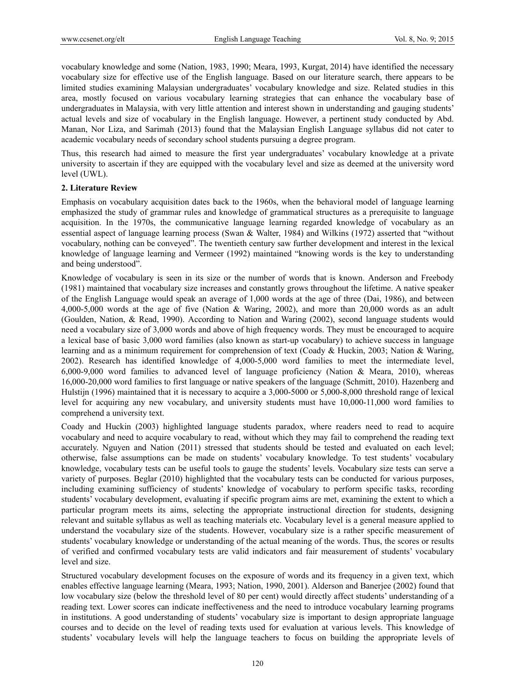vocabulary knowledge and some (Nation, 1983, 1990; Meara, 1993, Kurgat, 2014) have identified the necessary vocabulary size for effective use of the English language. Based on our literature search, there appears to be limited studies examining Malaysian undergraduates' vocabulary knowledge and size. Related studies in this area, mostly focused on various vocabulary learning strategies that can enhance the vocabulary base of undergraduates in Malaysia, with very little attention and interest shown in understanding and gauging students' actual levels and size of vocabulary in the English language. However, a pertinent study conducted by Abd. Manan, Nor Liza, and Sarimah (2013) found that the Malaysian English Language syllabus did not cater to academic vocabulary needs of secondary school students pursuing a degree program.

Thus, this research had aimed to measure the first year undergraduates' vocabulary knowledge at a private university to ascertain if they are equipped with the vocabulary level and size as deemed at the university word level (UWL).

#### **2. Literature Review**

Emphasis on vocabulary acquisition dates back to the 1960s, when the behavioral model of language learning emphasized the study of grammar rules and knowledge of grammatical structures as a prerequisite to language acquisition. In the 1970s, the communicative language learning regarded knowledge of vocabulary as an essential aspect of language learning process (Swan & Walter, 1984) and Wilkins (1972) asserted that "without vocabulary, nothing can be conveyed". The twentieth century saw further development and interest in the lexical knowledge of language learning and Vermeer (1992) maintained "knowing words is the key to understanding and being understood".

Knowledge of vocabulary is seen in its size or the number of words that is known. Anderson and Freebody (1981) maintained that vocabulary size increases and constantly grows throughout the lifetime. A native speaker of the English Language would speak an average of 1,000 words at the age of three (Dai, 1986), and between 4,000-5,000 words at the age of five (Nation & Waring, 2002), and more than 20,000 words as an adult (Goulden, Nation, & Read, 1990). According to Nation and Waring (2002), second language students would need a vocabulary size of 3,000 words and above of high frequency words. They must be encouraged to acquire a lexical base of basic 3,000 word families (also known as start-up vocabulary) to achieve success in language learning and as a minimum requirement for comprehension of text (Coady & Huckin, 2003; Nation & Waring, 2002). Research has identified knowledge of 4,000-5,000 word families to meet the intermediate level, 6,000-9,000 word families to advanced level of language proficiency (Nation & Meara, 2010), whereas 16,000-20,000 word families to first language or native speakers of the language (Schmitt, 2010). Hazenberg and Hulstijn (1996) maintained that it is necessary to acquire a 3,000-5000 or 5,000-8,000 threshold range of lexical level for acquiring any new vocabulary, and university students must have 10,000-11,000 word families to comprehend a university text.

Coady and Huckin (2003) highlighted language students paradox, where readers need to read to acquire vocabulary and need to acquire vocabulary to read, without which they may fail to comprehend the reading text accurately. Nguyen and Nation (2011) stressed that students should be tested and evaluated on each level; otherwise, false assumptions can be made on students' vocabulary knowledge. To test students' vocabulary knowledge, vocabulary tests can be useful tools to gauge the students' levels. Vocabulary size tests can serve a variety of purposes. Beglar (2010) highlighted that the vocabulary tests can be conducted for various purposes, including examining sufficiency of students' knowledge of vocabulary to perform specific tasks, recording students' vocabulary development, evaluating if specific program aims are met, examining the extent to which a particular program meets its aims, selecting the appropriate instructional direction for students, designing relevant and suitable syllabus as well as teaching materials etc. Vocabulary level is a general measure applied to understand the vocabulary size of the students. However, vocabulary size is a rather specific measurement of students' vocabulary knowledge or understanding of the actual meaning of the words. Thus, the scores or results of verified and confirmed vocabulary tests are valid indicators and fair measurement of students' vocabulary level and size.

Structured vocabulary development focuses on the exposure of words and its frequency in a given text, which enables effective language learning (Meara, 1993; Nation, 1990, 2001). Alderson and Banerjee (2002) found that low vocabulary size (below the threshold level of 80 per cent) would directly affect students' understanding of a reading text. Lower scores can indicate ineffectiveness and the need to introduce vocabulary learning programs in institutions. A good understanding of students' vocabulary size is important to design appropriate language courses and to decide on the level of reading texts used for evaluation at various levels. This knowledge of students' vocabulary levels will help the language teachers to focus on building the appropriate levels of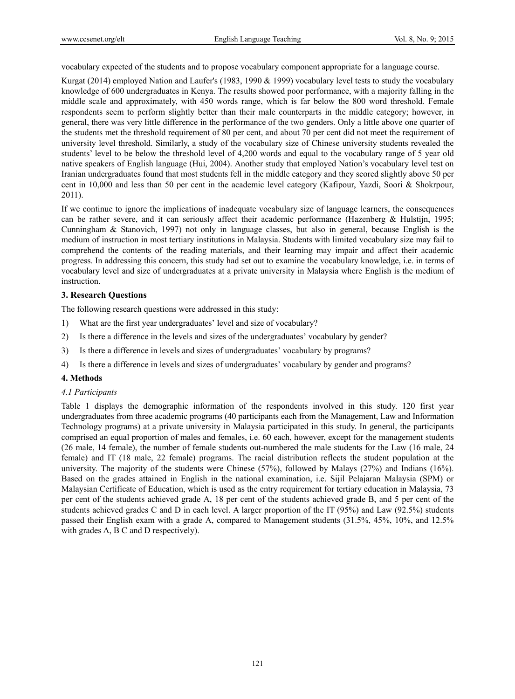vocabulary expected of the students and to propose vocabulary component appropriate for a language course.

Kurgat (2014) employed Nation and Laufer's (1983, 1990 & 1999) vocabulary level tests to study the vocabulary knowledge of 600 undergraduates in Kenya. The results showed poor performance, with a majority falling in the middle scale and approximately, with 450 words range, which is far below the 800 word threshold. Female respondents seem to perform slightly better than their male counterparts in the middle category; however, in general, there was very little difference in the performance of the two genders. Only a little above one quarter of the students met the threshold requirement of 80 per cent, and about 70 per cent did not meet the requirement of university level threshold. Similarly, a study of the vocabulary size of Chinese university students revealed the students' level to be below the threshold level of 4,200 words and equal to the vocabulary range of 5 year old native speakers of English language (Hui, 2004). Another study that employed Nation's vocabulary level test on Iranian undergraduates found that most students fell in the middle category and they scored slightly above 50 per cent in 10,000 and less than 50 per cent in the academic level category (Kafipour, Yazdi, Soori & Shokrpour, 2011).

If we continue to ignore the implications of inadequate vocabulary size of language learners, the consequences can be rather severe, and it can seriously affect their academic performance (Hazenberg & Hulstijn, 1995; Cunningham & Stanovich, 1997) not only in language classes, but also in general, because English is the medium of instruction in most tertiary institutions in Malaysia. Students with limited vocabulary size may fail to comprehend the contents of the reading materials, and their learning may impair and affect their academic progress. In addressing this concern, this study had set out to examine the vocabulary knowledge, i.e. in terms of vocabulary level and size of undergraduates at a private university in Malaysia where English is the medium of instruction.

## **3. Research Questions**

The following research questions were addressed in this study:

- 1) What are the first year undergraduates' level and size of vocabulary?
- 2) Is there a difference in the levels and sizes of the undergraduates' vocabulary by gender?
- 3) Is there a difference in levels and sizes of undergraduates' vocabulary by programs?
- 4) Is there a difference in levels and sizes of undergraduates' vocabulary by gender and programs?

## **4. Methods**

#### *4.1 Participants*

Table 1 displays the demographic information of the respondents involved in this study. 120 first year undergraduates from three academic programs (40 participants each from the Management, Law and Information Technology programs) at a private university in Malaysia participated in this study. In general, the participants comprised an equal proportion of males and females, i.e. 60 each, however, except for the management students (26 male, 14 female), the number of female students out-numbered the male students for the Law (16 male, 24 female) and IT (18 male, 22 female) programs. The racial distribution reflects the student population at the university. The majority of the students were Chinese (57%), followed by Malays (27%) and Indians (16%). Based on the grades attained in English in the national examination, i.e. Sijil Pelajaran Malaysia (SPM) or Malaysian Certificate of Education, which is used as the entry requirement for tertiary education in Malaysia, 73 per cent of the students achieved grade A, 18 per cent of the students achieved grade B, and 5 per cent of the students achieved grades C and D in each level. A larger proportion of the IT (95%) and Law (92.5%) students passed their English exam with a grade A, compared to Management students (31.5%, 45%, 10%, and 12.5% with grades A, B C and D respectively).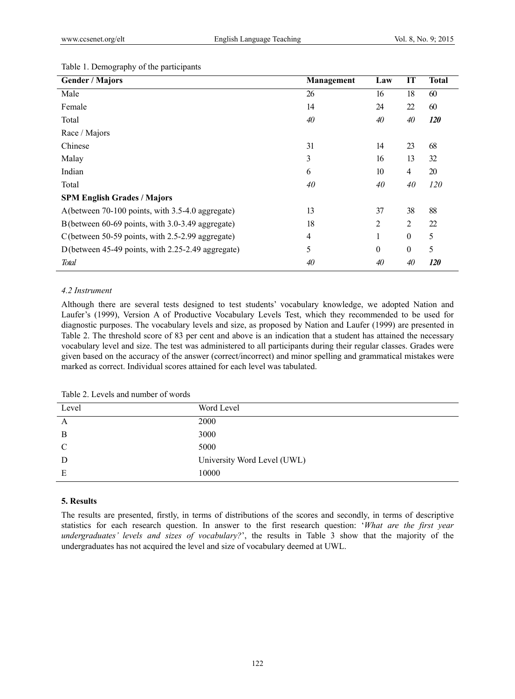| <b>Gender / Majors</b>                            | Management     | Law          | IT               | <b>Total</b> |
|---------------------------------------------------|----------------|--------------|------------------|--------------|
| Male                                              | 26             | 16           | 18               | 60           |
| Female                                            | 14             | 24           | 22               | 60           |
| Total                                             | 40             | 40           | 40               | 120          |
| Race / Majors                                     |                |              |                  |              |
| Chinese                                           | 31             | 14           | 23               | 68           |
| Malay                                             | 3              | 16           | 13               | 32           |
| Indian                                            | 6              | 10           | $\overline{4}$   | 20           |
| Total                                             | 40             | 40           | 40               | 120          |
| <b>SPM English Grades / Majors</b>                |                |              |                  |              |
| A (between 70-100 points, with 3.5-4.0 aggregate) | 13             | 37           | 38               | 88           |
| B (between 60-69 points, with 3.0-3.49 aggregate) | 18             | 2            | $\overline{2}$   | 22           |
| C(between 50-59 points, with 2.5-2.99 aggregate)  | $\overline{4}$ | 1            | $\boldsymbol{0}$ | 5            |
| D(between 45-49 points, with 2.25-2.49 aggregate) | 5              | $\mathbf{0}$ | $\boldsymbol{0}$ | 5            |
| <b>Total</b>                                      | 40             | 40           | 40               | <i>120</i>   |

## Table 1. Demography of the participants

## *4.2 Instrument*

Although there are several tests designed to test students' vocabulary knowledge, we adopted Nation and Laufer's (1999), Version A of Productive Vocabulary Levels Test, which they recommended to be used for diagnostic purposes. The vocabulary levels and size, as proposed by Nation and Laufer (1999) are presented in Table 2. The threshold score of 83 per cent and above is an indication that a student has attained the necessary vocabulary level and size. The test was administered to all participants during their regular classes. Grades were given based on the accuracy of the answer (correct/incorrect) and minor spelling and grammatical mistakes were marked as correct. Individual scores attained for each level was tabulated.

| Table 2. Levels and number of words |  |
|-------------------------------------|--|
|                                     |  |

| Level | Word Level                  |
|-------|-----------------------------|
| A     | 2000                        |
| B     | 3000                        |
| C     | 5000                        |
| D     | University Word Level (UWL) |
| Е     | 10000                       |

#### **5. Results**

The results are presented, firstly, in terms of distributions of the scores and secondly, in terms of descriptive statistics for each research question. In answer to the first research question: '*What are the first year undergraduates' levels and sizes of vocabulary?*', the results in Table 3 show that the majority of the undergraduates has not acquired the level and size of vocabulary deemed at UWL.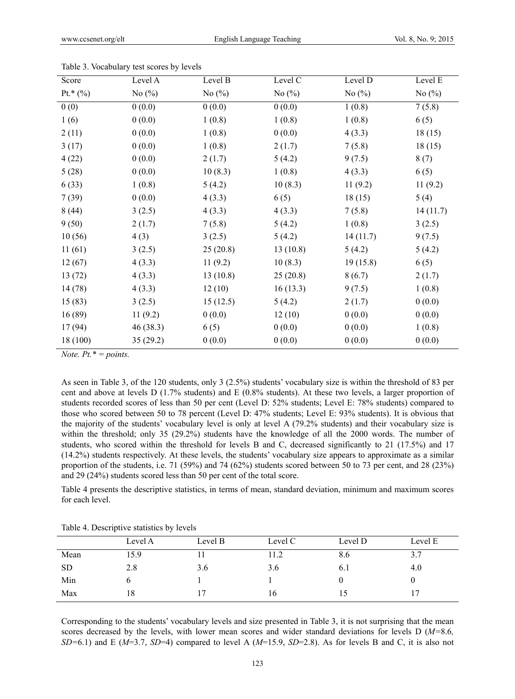| Score       | Level A   | Level B   | Level C   | Level D   | Level E   |
|-------------|-----------|-----------|-----------|-----------|-----------|
| Pt.* $(\%)$ | No $(\%)$ | No $(\%)$ | No $(\%)$ | No $(\%)$ | No $(\%)$ |
| 0(0)        | 0(0.0)    | 0(0.0)    | 0(0.0)    | 1(0.8)    | 7(5.8)    |
| 1(6)        | 0(0.0)    | 1(0.8)    | 1(0.8)    | 1(0.8)    | 6(5)      |
| 2(11)       | 0(0.0)    | 1(0.8)    | 0(0.0)    | 4(3.3)    | 18(15)    |
| 3(17)       | 0(0.0)    | 1(0.8)    | 2(1.7)    | 7(5.8)    | 18(15)    |
| 4(22)       | 0(0.0)    | 2(1.7)    | 5(4.2)    | 9(7.5)    | 8(7)      |
| 5(28)       | 0(0.0)    | 10(8.3)   | 1(0.8)    | 4(3.3)    | 6(5)      |
| 6(33)       | 1(0.8)    | 5(4.2)    | 10(8.3)   | 11(9.2)   | 11(9.2)   |
| 7(39)       | 0(0.0)    | 4(3.3)    | 6(5)      | 18(15)    | 5(4)      |
| 8(44)       | 3(2.5)    | 4(3.3)    | 4(3.3)    | 7(5.8)    | 14(11.7)  |
| 9(50)       | 2(1.7)    | 7(5.8)    | 5(4.2)    | 1(0.8)    | 3(2.5)    |
| 10(56)      | 4(3)      | 3(2.5)    | 5(4.2)    | 14(11.7)  | 9(7.5)    |
| 11(61)      | 3(2.5)    | 25(20.8)  | 13(10.8)  | 5(4.2)    | 5(4.2)    |
| 12(67)      | 4(3.3)    | 11(9.2)   | 10(8.3)   | 19(15.8)  | 6(5)      |
| 13(72)      | 4(3.3)    | 13(10.8)  | 25(20.8)  | 8(6.7)    | 2(1.7)    |
| 14 (78)     | 4(3.3)    | 12(10)    | 16(13.3)  | 9(7.5)    | 1(0.8)    |
| 15(83)      | 3(2.5)    | 15(12.5)  | 5(4.2)    | 2(1.7)    | 0(0.0)    |
| 16(89)      | 11(9.2)   | 0(0.0)    | 12(10)    | 0(0.0)    | 0(0.0)    |
| 17 (94)     | 46(38.3)  | 6(5)      | 0(0.0)    | 0(0.0)    | 1(0.8)    |
| 18 (100)    | 35 (29.2) | 0(0.0)    | 0(0.0)    | 0(0.0)    | 0(0.0)    |

Table 3. Vocabulary test scores by levels

*Note. Pt.\* = points.* 

As seen in Table 3, of the 120 students, only 3 (2.5%) students' vocabulary size is within the threshold of 83 per cent and above at levels D (1.7% students) and E (0.8% students). At these two levels, a larger proportion of students recorded scores of less than 50 per cent (Level D: 52% students; Level E: 78% students) compared to those who scored between 50 to 78 percent (Level D: 47% students; Level E: 93% students). It is obvious that the majority of the students' vocabulary level is only at level A (79.2% students) and their vocabulary size is within the threshold; only 35 (29.2%) students have the knowledge of all the 2000 words. The number of students, who scored within the threshold for levels B and C, decreased significantly to 21 (17.5%) and 17 (14.2%) students respectively. At these levels, the students' vocabulary size appears to approximate as a similar proportion of the students, i.e. 71 (59%) and 74 (62%) students scored between 50 to 73 per cent, and 28 (23%) and 29 (24%) students scored less than 50 per cent of the total score.

Table 4 presents the descriptive statistics, in terms of mean, standard deviation, minimum and maximum scores for each level.

|           | Level A | Level B | Level C | Level D | Level E |
|-----------|---------|---------|---------|---------|---------|
| Mean      | 15.9    |         | 11.2    | 8.6     | 3.7     |
| <b>SD</b> | 2.8     | 3.6     | 3.6     | 6.1     | 4.0     |
| Min       |         |         |         |         |         |
| Max       | 18      |         | 16      |         |         |

Table 4. Descriptive statistics by levels

Corresponding to the students' vocabulary levels and size presented in Table 3, it is not surprising that the mean scores decreased by the levels, with lower mean scores and wider standard deviations for levels D (*M=*8.6*, SD=*6.1) and E (*M*=3.7, *SD*=4) compared to level A (*M*=15.9, *SD*=2.8). As for levels B and C, it is also not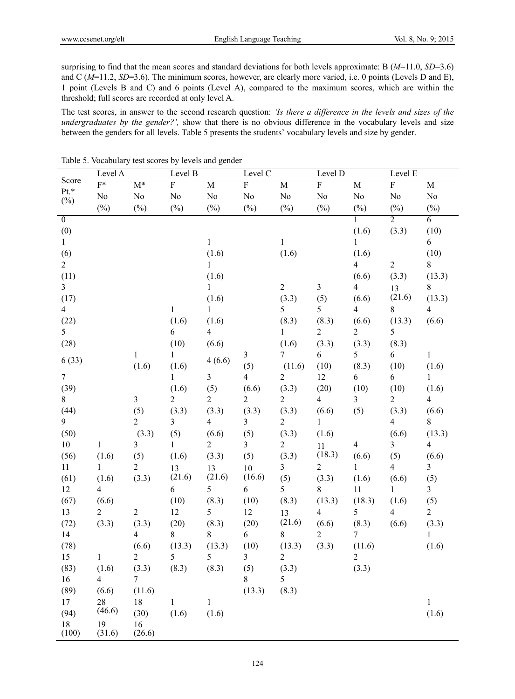surprising to find that the mean scores and standard deviations for both levels approximate: B (*M*=11.0, *SD*=3.6) and C ( $M=11.2$ ,  $SD=3.6$ ). The minimum scores, however, are clearly more varied, i.e. 0 points (Levels D and E), 1 point (Levels B and C) and 6 points (Level A), compared to the maximum scores, which are within the threshold; full scores are recorded at only level A.

The test scores, in answer to the second research question: *'Is there a difference in the levels and sizes of the undergraduates by the gender?',* show that there is no obvious difference in the vocabulary levels and size between the genders for all levels. Table 5 presents the students' vocabulary levels and size by gender.

|                | Level A                  |                | Level B                 |                          | Level C        |                  | Level D                  |                | Level E                 |                |
|----------------|--------------------------|----------------|-------------------------|--------------------------|----------------|------------------|--------------------------|----------------|-------------------------|----------------|
| Score          | $\overline{F^*}$         | $M^*$          | $\overline{\mathrm{F}}$ | $\overline{M}$           | $\overline{F}$ | $\overline{M}$   | $\overline{F}$           | $\overline{M}$ | $\overline{\mathrm{F}}$ | $\overline{M}$ |
| Pt.*<br>$(\%)$ | No                       | $\rm No$       | $\rm No$                | $\rm No$                 | $\rm No$       | $\rm No$         | $\rm No$                 | $\rm No$       | $\rm No$                | No             |
|                | $(\%)$                   | $(\%)$         | $(\%)$                  | $(\%)$                   | $(\%)$         | $(\%)$           | $(\%)$                   | $(\%)$         | $(\%)$                  | $(\%)$         |
| $\overline{0}$ |                          |                |                         |                          |                |                  |                          | 1              | $\overline{2}$          | 6              |
| (0)            |                          |                |                         |                          |                |                  |                          | (1.6)          | (3.3)                   | (10)           |
| $\mathbf{1}$   |                          |                |                         | $\,1$                    |                | $\mathbf{1}$     |                          | $\mathbf{1}$   |                         | 6              |
| (6)            |                          |                |                         | (1.6)                    |                | (1.6)            |                          | (1.6)          |                         | (10)           |
| $\overline{2}$ |                          |                |                         | $\mathbf{1}$             |                |                  |                          | $\overline{4}$ | $\overline{c}$          | $8\,$          |
| (11)           |                          |                |                         | (1.6)                    |                |                  |                          | (6.6)          | (3.3)                   | (13.3)         |
| $\overline{3}$ |                          |                |                         | $\mathbf{1}$             |                | $\boldsymbol{2}$ | $\overline{3}$           | $\overline{4}$ | 13                      | 8              |
| (17)           |                          |                |                         | (1.6)                    |                | (3.3)            | (5)                      | (6.6)          | (21.6)                  | (13.3)         |
| $\overline{4}$ |                          |                | $\mathbf{1}$            | $\mathbf{1}$             |                | 5                | 5                        | $\overline{4}$ | 8                       | $\overline{4}$ |
| (22)           |                          |                | (1.6)                   | (1.6)                    |                | (8.3)            | (8.3)                    | (6.6)          | (13.3)                  | (6.6)          |
| 5              |                          |                | 6                       | $\overline{\mathcal{A}}$ |                | 1                | $\overline{c}$           | $\overline{c}$ | 5                       |                |
| (28)           |                          |                | (10)                    | (6.6)                    |                | (1.6)            | (3.3)                    | (3.3)          | (8.3)                   |                |
| 6(33)          |                          | $\mathbf{1}$   | 1                       | 4(6.6)                   | $\mathfrak{Z}$ | 7                | 6                        | 5              | 6                       | $\mathbf{1}$   |
|                |                          | (1.6)          | (1.6)                   |                          | (5)            | (11.6)           | (10)                     | (8.3)          | (10)                    | (1.6)          |
| $\overline{7}$ |                          |                | $\mathbf{1}$            | $\overline{3}$           | $\overline{4}$ | $\sqrt{2}$       | 12                       | 6              | 6                       | $\mathbf{1}$   |
| (39)           |                          |                | (1.6)                   | (5)                      | (6.6)          | (3.3)            | (20)                     | (10)           | (10)                    | (1.6)          |
| 8              |                          | $\mathfrak{Z}$ | $\overline{c}$          | $\overline{c}$           | $\overline{2}$ | $\overline{c}$   | $\overline{\mathcal{A}}$ | 3              | $\overline{c}$          | $\overline{4}$ |
| (44)           |                          | (5)            | (3.3)                   | (3.3)                    | (3.3)          | (3.3)            | (6.6)                    | (5)            | (3.3)                   | (6.6)          |
| 9              |                          | $\overline{2}$ | 3                       | $\overline{4}$           | $\overline{3}$ | 2                | $\mathbf{1}$             |                | $\overline{\mathbf{4}}$ | 8              |
| (50)           |                          | (3.3)          | (5)                     | (6.6)                    | (5)            | (3.3)            | (1.6)                    |                | (6.6)                   | (13.3)         |
| $10\,$         | $\mathbf{1}$             | $\overline{3}$ | $\mathbf{1}$            | $\overline{2}$           | $\overline{3}$ | $\overline{c}$   | 11                       | $\overline{4}$ | 3                       | $\overline{4}$ |
| (56)           | (1.6)                    | (5)            | (1.6)                   | (3.3)                    | (5)            | (3.3)            | (18.3)                   | (6.6)          | (5)                     | (6.6)          |
| 11             | 1                        | $\overline{2}$ | 13                      | 13                       | 10             | 3                | $\overline{c}$           | 1              | 4                       | 3              |
| (61)           | (1.6)                    | (3.3)          | (21.6)                  | (21.6)                   | (16.6)         | (5)              | (3.3)                    | (1.6)          | (6.6)                   | (5)            |
| 12             | $\overline{\mathcal{A}}$ |                | 6                       | 5                        | 6              | 5                | 8                        | 11             | $\mathbf{1}$            | $\overline{3}$ |
| (67)           | (6.6)                    |                | (10)                    | (8.3)                    | (10)           | (8.3)            | (13.3)                   | (18.3)         | (1.6)                   | (5)            |
| 13             | $\overline{c}$           | $\overline{2}$ | 12                      | 5                        | 12             | 13               | $\overline{4}$           | 5              | $\overline{4}$          | $\overline{c}$ |
| (72)           | (3.3)                    | (3.3)          | (20)                    | (8.3)                    | (20)           | (21.6)           | (6.6)                    | (8.3)          | (6.6)                   | (3.3)          |
| 14             |                          | $\overline{4}$ | 8                       | 8                        | 6              | 8                | $\overline{2}$           | $\overline{7}$ |                         | $\mathbf{1}$   |
| (78)           |                          | (6.6)          | (13.3)                  | (13.3)                   | (10)           | (13.3)           | (3.3)                    | (11.6)         |                         | (1.6)          |
| 15             | 1                        | $\overline{2}$ | 5                       | 5                        | $\overline{3}$ | $\overline{c}$   |                          | $\overline{2}$ |                         |                |
| (83)           | (1.6)                    | (3.3)          | (8.3)                   | (8.3)                    | (5)            | (3.3)            |                          | (3.3)          |                         |                |
| 16             | $\overline{4}$           | 7 <sup>7</sup> |                         |                          | 8              | 5                |                          |                |                         |                |
| (89)           | (6.6)                    | (11.6)         |                         |                          | (13.3)         | (8.3)            |                          |                |                         |                |
| 17             | 28<br>(46.6)             | 18             | $\mathbf{1}$            | $\mathbf{1}$             |                |                  |                          |                |                         | $\mathbf{1}$   |
| (94)           |                          | (30)           | (1.6)                   | (1.6)                    |                |                  |                          |                |                         | (1.6)          |
| 18<br>(100)    | 19<br>(31.6)             | 16<br>(26.6)   |                         |                          |                |                  |                          |                |                         |                |

Table 5. Vocabulary test scores by levels and gender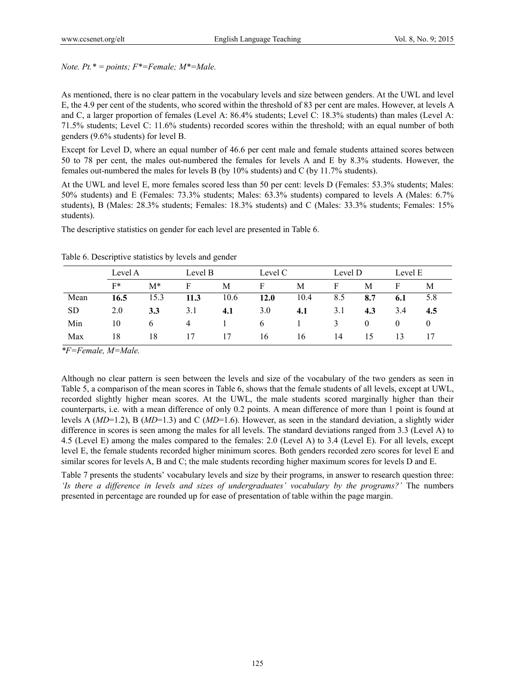*Note. Pt.\* = points; F\*=Female; M\*=Male.* 

As mentioned, there is no clear pattern in the vocabulary levels and size between genders. At the UWL and level E, the 4.9 per cent of the students, who scored within the threshold of 83 per cent are males. However, at levels A and C, a larger proportion of females (Level A: 86.4% students; Level C: 18.3% students) than males (Level A: 71.5% students; Level C: 11.6% students) recorded scores within the threshold; with an equal number of both genders (9.6% students) for level B.

Except for Level D, where an equal number of 46.6 per cent male and female students attained scores between 50 to 78 per cent, the males out-numbered the females for levels A and E by 8.3% students. However, the females out-numbered the males for levels B (by 10% students) and C (by 11.7% students).

At the UWL and level E, more females scored less than 50 per cent: levels D (Females: 53.3% students; Males: 50% students) and E (Females: 73.3% students; Males: 63.3% students) compared to levels A (Males: 6.7% students), B (Males: 28.3% students; Females: 18.3% students) and C (Males: 33.3% students; Females: 15% students).

The descriptive statistics on gender for each level are presented in Table 6.

|      | Level A |          |      | Level B |               | Level C |     | Level D  |          | Level E  |
|------|---------|----------|------|---------|---------------|---------|-----|----------|----------|----------|
|      | $F*$    | $M^*$    | F    | M       | F             | М       | F   | М        | F        | М        |
| Mean | 16.5    | 15.3     | 11.3 | 10.6    | 12.0          | 10.4    | 8.5 | 8.7      | 6.1      | 5.8      |
| SD.  | 2.0     | 3.3      | 3.1  | 4.1     | 3.0           | 4.1     | 3.1 | 4.3      | 3.4      | 4.5      |
| Min  | 10      | $\sigma$ | 4    |         | $\mathfrak b$ |         |     | $\theta$ | $\theta$ | $\theta$ |
| Max  | 18      | 18       | 17   | 17      | 16            | 16      | 14  | 15       | 13       |          |

Table 6. Descriptive statistics by levels and gender

*\*F=Female, M=Male.* 

Although no clear pattern is seen between the levels and size of the vocabulary of the two genders as seen in Table 5, a comparison of the mean scores in Table 6, shows that the female students of all levels, except at UWL, recorded slightly higher mean scores. At the UWL, the male students scored marginally higher than their counterparts, i.e. with a mean difference of only 0.2 points. A mean difference of more than 1 point is found at levels A (*MD*=1.2), B (*MD*=1.3) and C (*MD*=1.6). However, as seen in the standard deviation, a slightly wider difference in scores is seen among the males for all levels. The standard deviations ranged from 3.3 (Level A) to 4.5 (Level E) among the males compared to the females: 2.0 (Level A) to 3.4 (Level E). For all levels, except level E, the female students recorded higher minimum scores. Both genders recorded zero scores for level E and similar scores for levels A, B and C; the male students recording higher maximum scores for levels D and E.

Table 7 presents the students' vocabulary levels and size by their programs, in answer to research question three: *'Is there a difference in levels and sizes of undergraduates' vocabulary by the programs?'* The numbers presented in percentage are rounded up for ease of presentation of table within the page margin.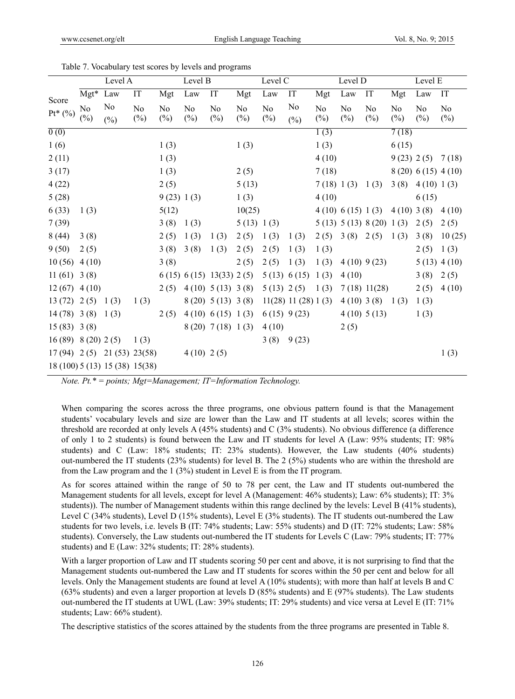|                       |              | Level A                           |                          |              | Level B                  |                            |              | Level C                  |                      |              | Level D                  |                                |              | Level E                  |                          |
|-----------------------|--------------|-----------------------------------|--------------------------|--------------|--------------------------|----------------------------|--------------|--------------------------|----------------------|--------------|--------------------------|--------------------------------|--------------|--------------------------|--------------------------|
|                       | $Mgt^*$      | Law                               | $\mathop{\text{IT}}$     | Mgt          | Law                      | $\ensuremath{\mathsf{IT}}$ | Mgt          | Law                      | $\mathop{\text{IT}}$ | Mgt          | Law                      | $\ensuremath{\mathsf{IT}}$     | Mgt          | Law                      | IT                       |
| Score<br>$Pt^{*}$ (%) | No<br>$(\%)$ | N <sub>0</sub><br>$(\%)$          | N <sub>0</sub><br>$(\%)$ | No<br>$(\%)$ | N <sub>o</sub><br>$(\%)$ | No<br>$(\%)$               | No<br>$(\%)$ | N <sub>0</sub><br>$(\%)$ | No<br>$(\% )$        | No<br>$(\%)$ | N <sub>0</sub><br>$(\%)$ | N <sub>o</sub><br>$(\%)$       | No<br>$(\%)$ | N <sub>0</sub><br>$(\%)$ | N <sub>0</sub><br>$(\%)$ |
| $\overline{0(0)}$     |              |                                   |                          |              |                          |                            |              |                          |                      | 1(3)         |                          |                                | 7(18)        |                          |                          |
| 1(6)                  |              |                                   |                          | 1(3)         |                          |                            | 1(3)         |                          |                      | 1(3)         |                          |                                | 6(15)        |                          |                          |
| 2(11)                 |              |                                   |                          | 1(3)         |                          |                            |              |                          |                      | 4(10)        |                          |                                |              |                          | 9(23) 2(5) 7(18)         |
| 3(17)                 |              |                                   |                          | 1(3)         |                          |                            | 2(5)         |                          |                      | 7(18)        |                          |                                |              |                          | 8(20) 6(15) 4(10)        |
| 4(22)                 |              |                                   |                          | 2(5)         |                          |                            | 5(13)        |                          |                      |              | 7(18) 1(3) 1(3)          |                                | 3(8)         | 4(10) 1(3)               |                          |
| 5(28)                 |              |                                   |                          | 9(23) 1(3)   |                          |                            | 1(3)         |                          |                      | 4(10)        |                          |                                |              | 6(15)                    |                          |
| 6(33)                 | 1(3)         |                                   |                          | 5(12)        |                          |                            | 10(25)       |                          |                      |              | 4(10) 6(15) 1(3)         |                                | $4(10)$ 3(8) |                          | 4(10)                    |
| 7(39)                 |              |                                   |                          | 3(8)         | 1(3)                     |                            | 5(13) 1(3)   |                          |                      |              |                          | $5(13)$ $5(13)$ $8(20)$ $1(3)$ |              | 2(5)                     | 2(5)                     |
| 8(44)                 | 3(8)         |                                   |                          | 2(5)         | 1(3)                     | 1(3)                       | 2(5)         | 1(3)                     | 1(3)                 | 2(5)         | 3(8)                     | 2(5)                           | 1(3)         | 3(8)                     | 10(25)                   |
| 9(50)                 | 2(5)         |                                   |                          | 3(8)         | 3(8)                     | 1(3)                       | 2(5)         | 2(5)                     | 1(3)                 | 1(3)         |                          |                                |              | 2(5)                     | 1(3)                     |
| 10(56)                | 4(10)        |                                   |                          | 3(8)         |                          |                            | 2(5)         | 2(5)                     | 1(3)                 | 1(3)         |                          | $4(10)$ 9(23)                  |              |                          | $5(13)$ 4 (10)           |
| $11(61)$ 3(8)         |              |                                   |                          |              |                          | 6(15) 6(15) 13(33) 2(5)    |              |                          | 5(13) 6(15)          | 1(3)         | 4(10)                    |                                |              | 3(8)                     | 2(5)                     |
| $12(67)$ 4 (10)       |              |                                   |                          | 2(5)         |                          | 4(10) 5(13) 3(8)           |              | 5(13) 2(5)               |                      | 1(3)         |                          | 7(18) 11(28)                   |              | 2(5)                     | 4(10)                    |
| $13(72)$ 2(5)         |              | 1(3)                              | 1(3)                     |              |                          | 8(20) 5(13) 3(8)           |              |                          | 11(28) 11(28) 1(3)   |              |                          | $4(10)$ 3(8) 1(3)              |              | 1(3)                     |                          |
| $14(78)$ 3(8)         |              | 1(3)                              |                          | 2(5)         |                          | 4(10) 6(15) 1(3)           |              |                          | $6(15)$ 9(23)        |              |                          | 4(10) 5(13)                    |              | 1(3)                     |                          |
| $15(83)$ 3(8)         |              |                                   |                          |              |                          | $8(20)$ 7(18) 1(3)         |              | 4(10)                    |                      |              | 2(5)                     |                                |              |                          |                          |
| 16(89) 8(20) 2(5)     |              |                                   | 1(3)                     |              |                          |                            |              |                          | 3(8) 9(23)           |              |                          |                                |              |                          |                          |
|                       |              | $17(94)$ $2(5)$ $21(53)$ $23(58)$ |                          |              | $4(10)$ 2(5)             |                            |              |                          |                      |              |                          |                                |              |                          | 1(3)                     |
|                       |              | 18 (100) 5 (13) 15 (38) 15 (38)   |                          |              |                          |                            |              |                          |                      |              |                          |                                |              |                          |                          |

Table 7. Vocabulary test scores by levels and programs

*Note. Pt.\* = points; Mgt=Management; IT=Information Technology.*

When comparing the scores across the three programs, one obvious pattern found is that the Management students' vocabulary levels and size are lower than the Law and IT students at all levels; scores within the threshold are recorded at only levels A (45% students) and C (3% students). No obvious difference (a difference of only 1 to 2 students) is found between the Law and IT students for level A (Law: 95% students; IT: 98% students) and C (Law: 18% students; IT: 23% students). However, the Law students (40% students) out-numbered the IT students (23% students) for level B. The 2 (5%) students who are within the threshold are from the Law program and the 1 (3%) student in Level E is from the IT program.

As for scores attained within the range of 50 to 78 per cent, the Law and IT students out-numbered the Management students for all levels, except for level A (Management: 46% students); Law: 6% students); IT: 3% students)). The number of Management students within this range declined by the levels: Level B (41% students), Level C (34% students), Level D (15% students), Level E (3% students). The IT students out-numbered the Law students for two levels, i.e. levels B (IT: 74% students; Law: 55% students) and D (IT: 72% students; Law: 58% students). Conversely, the Law students out-numbered the IT students for Levels C (Law: 79% students; IT: 77% students) and E (Law: 32% students; IT: 28% students).

With a larger proportion of Law and IT students scoring 50 per cent and above, it is not surprising to find that the Management students out-numbered the Law and IT students for scores within the 50 per cent and below for all levels. Only the Management students are found at level A (10% students); with more than half at levels B and C (63% students) and even a larger proportion at levels D (85% students) and E (97% students). The Law students out-numbered the IT students at UWL (Law: 39% students; IT: 29% students) and vice versa at Level E (IT: 71% students; Law: 66% student).

The descriptive statistics of the scores attained by the students from the three programs are presented in Table 8.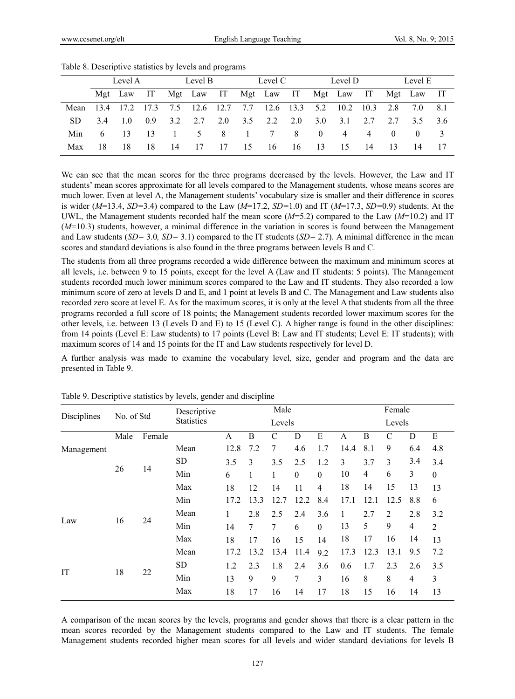|      | Level A |                                       |                 | Level B |     |           | Level C  |                                             |                | Level D             |      |      | Level E         |            |     |
|------|---------|---------------------------------------|-----------------|---------|-----|-----------|----------|---------------------------------------------|----------------|---------------------|------|------|-----------------|------------|-----|
|      |         |                                       |                 |         |     |           |          | Mgt Law IT Mgt Law IT Mgt Law IT Mgt Law IT |                |                     |      |      |                 | Mgt Law IT |     |
| Mean | 13.4    | 17.2 17.3                             |                 | 7.5     |     | 12.6 12.7 | 7.7      |                                             |                | $12.6$ $13.3$ $5.2$ | 10.2 | 10.3 | 2.8             | 7.0        | 8.1 |
| SD.  | 34      | $\begin{array}{cc} 1 & 0 \end{array}$ | 0.9             | 3.2     | 2.7 | 2.0       | 3.5      | 2.2                                         | 2.0            | 3.0                 | 3.1  | 2.7  | 2.7             | 35         | -36 |
| Min. | 6.      | -13                                   | $\overline{13}$ |         | 5.  | 8         | $\sim$ 1 | 7                                           | 8 <sup>8</sup> | $\overline{0}$      | 4    | 4    | $\Omega$        | $\theta$   |     |
| Max  | 18      | 18                                    | 18              | 14      | 17  | 17        | -15      | 16                                          | 16             | 13                  | -15  | 14   | $\overline{13}$ | -14        | 17  |

Table 8. Descriptive statistics by levels and programs

We can see that the mean scores for the three programs decreased by the levels. However, the Law and IT students' mean scores approximate for all levels compared to the Management students, whose means scores are much lower. Even at level A, the Management students' vocabulary size is smaller and their difference in scores is wider (*M*=13.4, *SD=*3.4) compared to the Law (*M*=17.2, *SD=*1.0) and IT (*M*=17.3, *SD=*0.9) students. At the UWL, the Management students recorded half the mean score (*M*=5.2) compared to the Law (*M*=10.2) and IT (*M*=10.3) students, however, a minimal difference in the variation in scores is found between the Management and Law students (*SD=* 3.0*, SD=* 3.1) compared to the IT students (*SD=* 2.7). A minimal difference in the mean scores and standard deviations is also found in the three programs between levels B and C.

The students from all three programs recorded a wide difference between the maximum and minimum scores at all levels, i.e. between 9 to 15 points, except for the level A (Law and IT students: 5 points). The Management students recorded much lower minimum scores compared to the Law and IT students. They also recorded a low minimum score of zero at levels D and E, and 1 point at levels B and C. The Management and Law students also recorded zero score at level E. As for the maximum scores, it is only at the level A that students from all the three programs recorded a full score of 18 points; the Management students recorded lower maximum scores for the other levels, i.e. between 13 (Levels D and E) to 15 (Level C). A higher range is found in the other disciplines: from 14 points (Level E: Law students) to 17 points (Level B: Law and IT students; Level E: IT students); with maximum scores of 14 and 15 points for the IT and Law students respectively for level D.

A further analysis was made to examine the vocabulary level, size, gender and program and the data are presented in Table 9.

| Disciplines | No. of Std |        | Descriptive       | Male<br>Levels |        |      |          |          |      | Female |                |     |                |  |
|-------------|------------|--------|-------------------|----------------|--------|------|----------|----------|------|--------|----------------|-----|----------------|--|
|             |            |        | <b>Statistics</b> |                |        |      |          |          |      |        | Levels         |     |                |  |
|             | Male       | Female |                   | A              | B      | C    | D        | Е        | A    | B      | C              | D   | E              |  |
| Management  |            |        | Mean              | 12.8           | 7.2    | 7    | 4.6      | 1.7      | 14.4 | 8.1    | 9              | 6.4 | 4.8            |  |
|             |            |        | <b>SD</b>         | 3.5            | 3      | 3.5  | 2.5      | 1.2      | 3    | 3.7    | 3              | 3.4 | 3.4            |  |
|             | 26         | 14     | Min               | 6              |        | 1    | $\theta$ | $\theta$ | 10   | 4      | 6              | 3   | $\theta$       |  |
|             |            |        | Max               | 18             | 12     | 14   | 11       | 4        | 18   | 14     | 15             | 13  | 13             |  |
|             |            |        | Min               | 17.2           | 13.3   | 12.7 | 12.2     | 8.4      | 17.1 | 12.1   | 12.5           | 8.8 | 6              |  |
|             |            |        | Mean              | 1              | 2.8    | 2.5  | 2.4      | 3.6      | 1    | 2.7    | $\overline{c}$ | 2.8 | 3.2            |  |
| Law         | 16         | 24     | Min               | 14             | $\tau$ | 7    | 6        | $\Omega$ | 13   | 5      | 9              | 4   | $\overline{c}$ |  |
|             |            |        | Max               | 18             | 17     | 16   | 15       | 14       | 18   | 17     | 16             | 14  | 13             |  |
|             |            |        | Mean              | 17.2           | 13.2   | 13.4 | 11.4     | 9.2      | 17.3 | 12.3   | 13.1           | 9.5 | 7.2            |  |
|             |            |        | <b>SD</b>         | 1.2            | 2.3    | 1.8  | 2.4      | 3.6      | 0.6  | 1.7    | 2.3            | 2.6 | 3.5            |  |
| IT          | 18         | 22     | Min               | 13             | 9      | 9    | 7        | 3        | 16   | 8      | 8              | 4   | 3              |  |
|             |            |        | Max               | 18             | 17     | 16   | 14       | 17       | 18   | 15     | 16             | 14  | 13             |  |

Table 9. Descriptive statistics by levels, gender and discipline

A comparison of the mean scores by the levels, programs and gender shows that there is a clear pattern in the mean scores recorded by the Management students compared to the Law and IT students. The female Management students recorded higher mean scores for all levels and wider standard deviations for levels B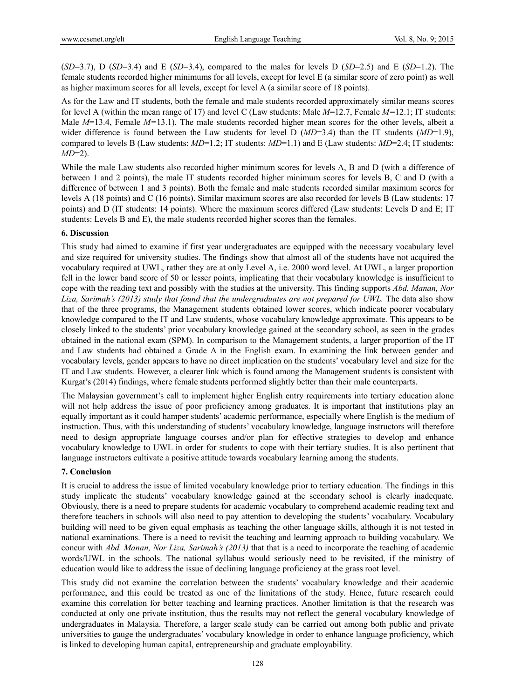$(SD=3.7)$ , D  $(SD=3.4)$  and E  $(SD=3.4)$ , compared to the males for levels D  $(SD=2.5)$  and E  $(SD=1.2)$ . The female students recorded higher minimums for all levels, except for level E (a similar score of zero point) as well as higher maximum scores for all levels, except for level A (a similar score of 18 points).

As for the Law and IT students, both the female and male students recorded approximately similar means scores for level A (within the mean range of 17) and level C (Law students: Male *M*=12.7, Female *M=*12.1; IT students: Male *M*=13.4, Female *M=*13.1). The male students recorded higher mean scores for the other levels, albeit a wider difference is found between the Law students for level D (*MD*=3.4) than the IT students (*MD*=1.9), compared to levels B (Law students: *MD*=1.2; IT students: *MD*=1.1) and E (Law students: *MD*=2.4; IT students: *MD*=2).

While the male Law students also recorded higher minimum scores for levels A, B and D (with a difference of between 1 and 2 points), the male IT students recorded higher minimum scores for levels B, C and D (with a difference of between 1 and 3 points). Both the female and male students recorded similar maximum scores for levels A (18 points) and C (16 points). Similar maximum scores are also recorded for levels B (Law students: 17 points) and D (IT students: 14 points). Where the maximum scores differed (Law students: Levels D and E; IT students: Levels B and E), the male students recorded higher scores than the females.

#### **6. Discussion**

This study had aimed to examine if first year undergraduates are equipped with the necessary vocabulary level and size required for university studies. The findings show that almost all of the students have not acquired the vocabulary required at UWL, rather they are at only Level A, i.e. 2000 word level. At UWL, a larger proportion fell in the lower band score of 50 or lesser points, implicating that their vocabulary knowledge is insufficient to cope with the reading text and possibly with the studies at the university. This finding supports *Abd. Manan, Nor*  Liza, Sarimah's (2013) study that found that the undergraduates are not prepared for UWL. The data also show that of the three programs, the Management students obtained lower scores, which indicate poorer vocabulary knowledge compared to the IT and Law students, whose vocabulary knowledge approximate. This appears to be closely linked to the students' prior vocabulary knowledge gained at the secondary school, as seen in the grades obtained in the national exam (SPM). In comparison to the Management students, a larger proportion of the IT and Law students had obtained a Grade A in the English exam. In examining the link between gender and vocabulary levels, gender appears to have no direct implication on the students' vocabulary level and size for the IT and Law students. However, a clearer link which is found among the Management students is consistent with Kurgat's (2014) findings, where female students performed slightly better than their male counterparts.

The Malaysian government's call to implement higher English entry requirements into tertiary education alone will not help address the issue of poor proficiency among graduates. It is important that institutions play an equally important as it could hamper students' academic performance, especially where English is the medium of instruction. Thus, with this understanding of students' vocabulary knowledge, language instructors will therefore need to design appropriate language courses and/or plan for effective strategies to develop and enhance vocabulary knowledge to UWL in order for students to cope with their tertiary studies. It is also pertinent that language instructors cultivate a positive attitude towards vocabulary learning among the students.

#### **7. Conclusion**

It is crucial to address the issue of limited vocabulary knowledge prior to tertiary education. The findings in this study implicate the students' vocabulary knowledge gained at the secondary school is clearly inadequate. Obviously, there is a need to prepare students for academic vocabulary to comprehend academic reading text and therefore teachers in schools will also need to pay attention to developing the students' vocabulary. Vocabulary building will need to be given equal emphasis as teaching the other language skills, although it is not tested in national examinations. There is a need to revisit the teaching and learning approach to building vocabulary. We concur with *Abd. Manan, Nor Liza, Sarimah's (2013)* that that is a need to incorporate the teaching of academic words/UWL in the schools. The national syllabus would seriously need to be revisited, if the ministry of education would like to address the issue of declining language proficiency at the grass root level.

This study did not examine the correlation between the students' vocabulary knowledge and their academic performance, and this could be treated as one of the limitations of the study. Hence, future research could examine this correlation for better teaching and learning practices. Another limitation is that the research was conducted at only one private institution, thus the results may not reflect the general vocabulary knowledge of undergraduates in Malaysia. Therefore, a larger scale study can be carried out among both public and private universities to gauge the undergraduates' vocabulary knowledge in order to enhance language proficiency, which is linked to developing human capital, entrepreneurship and graduate employability.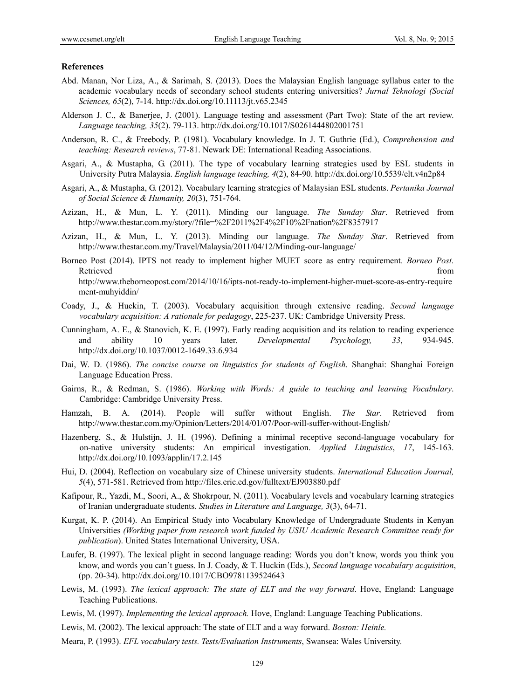#### **References**

- Abd. Manan, Nor Liza, A., & Sarimah, S. (2013). Does the Malaysian English language syllabus cater to the academic vocabulary needs of secondary school students entering universities? *Jurnal Teknologi (Social Sciences, 65*(2), 7-14. http://dx.doi.org/10.11113/jt.v65.2345
- Alderson J. C., & Banerjee, J. (2001). Language testing and assessment (Part Two): State of the art review. *Language teaching, 35*(2). 79-113. http://dx.doi.org/10.1017/S0261444802001751
- Anderson, R. C., & Freebody, P. (1981). Vocabulary knowledge. In J. T. Guthrie (Ed.), *Comprehension and teaching: Research reviews*, 77-81. Newark DE: International Reading Associations.
- Asgari, A., & Mustapha, G. (2011). The type of vocabulary learning strategies used by ESL students in University Putra Malaysia. *English language teaching, 4*(2), 84-90. http://dx.doi.org/10.5539/elt.v4n2p84
- Asgari, A., & Mustapha, G. (2012). Vocabulary learning strategies of Malaysian ESL students. *Pertanika Journal of Social Science & Humanity, 20*(3), 751-764.
- Azizan, H., & Mun, L. Y. (2011). Minding our language. *The Sunday Star*. Retrieved from http://www.thestar.com.my/story/?file=%2F2011%2F4%2F10%2Fnation%2F8357917
- Azizan, H., & Mun, L. Y. (2013). Minding our language. *The Sunday Star*. Retrieved from http://www.thestar.com.my/Travel/Malaysia/2011/04/12/Minding-our-language/
- Borneo Post (2014). IPTS not ready to implement higher MUET score as entry requirement. *Borneo Post*. Retrieved that the contract of the contract of the contract of the contract of the contract of the contract of the contract of the contract of the contract of the contract of the contract of the contract of the contract of http://www.theborneopost.com/2014/10/16/ipts-not-ready-to-implement-higher-muet-score-as-entry-require ment-muhyiddin/
- Coady, J., & Huckin, T. (2003). Vocabulary acquisition through extensive reading. *Second language vocabulary acquisition: A rationale for pedagogy*, 225-237. UK: Cambridge University Press.
- Cunningham, A. E., & Stanovich, K. E. (1997). Early reading acquisition and its relation to reading experience and ability 10 years later. *Developmental Psychology, 33*, 934-945. http://dx.doi.org/10.1037/0012-1649.33.6.934
- Dai, W. D. (1986). *The concise course on linguistics for students of English*. Shanghai: Shanghai Foreign Language Education Press.
- Gairns, R., & Redman, S. (1986). *Working with Words: A guide to teaching and learning Vocabulary*. Cambridge: Cambridge University Press.
- Hamzah, B. A. (2014). People will suffer without English. *The Star*. Retrieved from http://www.thestar.com.my/Opinion/Letters/2014/01/07/Poor-will-suffer-without-English/
- Hazenberg, S., & Hulstijn, J. H. (1996). Defining a minimal receptive second-language vocabulary for on-native university students: An empirical investigation. *Applied Linguistics*, *17*, 145-163. http://dx.doi.org/10.1093/applin/17.2.145
- Hui, D. (2004). Reflection on vocabulary size of Chinese university students. *International Education Journal, 5*(4), 571-581. Retrieved from http://files.eric.ed.gov/fulltext/EJ903880.pdf
- Kafipour, R., Yazdi, M., Soori, A., & Shokrpour, N. (2011). Vocabulary levels and vocabulary learning strategies of Iranian undergraduate students. *Studies in Literature and Language, 3*(3), 64-71.
- Kurgat, K. P. (2014). An Empirical Study into Vocabulary Knowledge of Undergraduate Students in Kenyan Universities *(Working paper from research work funded by USIU Academic Research Committee ready for publication*). United States International University, USA.
- Laufer, B. (1997). The lexical plight in second language reading: Words you don't know, words you think you know, and words you can't guess. In J. Coady, & T. Huckin (Eds.), *Second language vocabulary acquisition*, (pp. 20-34). http://dx.doi.org/10.1017/CBO9781139524643
- Lewis, M. (1993). *The lexical approach: The state of ELT and the way forward*. Hove, England: Language Teaching Publications.
- Lewis, M. (1997). *Implementing the lexical approach.* Hove, England: Language Teaching Publications.
- Lewis, M. (2002). The lexical approach: The state of ELT and a way forward. *Boston: Heinle.*
- Meara, P. (1993). *EFL vocabulary tests. Tests/Evaluation Instruments*, Swansea: Wales University.